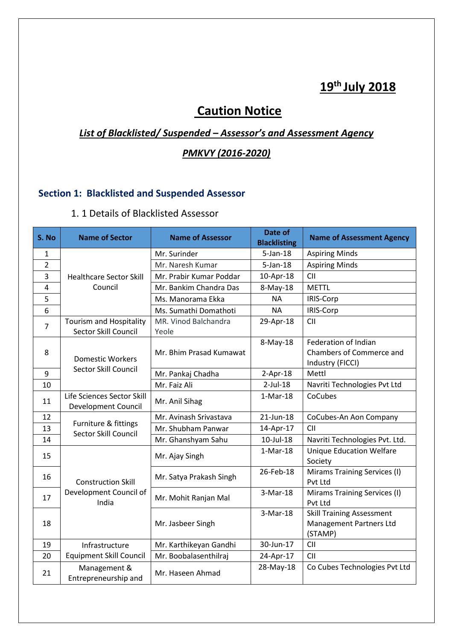# **19th July 2018**

# **Caution Notice**

# *List of Blacklisted/ Suspended – Assessor's and Assessment Agency*

#### *PMKVY (2016-2020)*

## **Section 1: Blacklisted and Suspended Assessor**

#### 1. 1 Details of Blacklisted Assessor

| S. No          | <b>Name of Sector</b>                                    | <b>Name of Assessor</b>       | Date of<br><b>Blacklisting</b> | <b>Name of Assessment Agency</b>                                              |
|----------------|----------------------------------------------------------|-------------------------------|--------------------------------|-------------------------------------------------------------------------------|
| 1              |                                                          | Mr. Surinder                  | $5$ -Jan-18                    | <b>Aspiring Minds</b>                                                         |
| $\overline{2}$ |                                                          | Mr. Naresh Kumar              | $5$ -Jan-18                    | <b>Aspiring Minds</b>                                                         |
| 3              | <b>Healthcare Sector Skill</b>                           | Mr. Prabir Kumar Poddar       | 10-Apr-18                      | <b>CII</b>                                                                    |
| 4              | Council                                                  | Mr. Bankim Chandra Das        | 8-May-18                       | <b>METTL</b>                                                                  |
| 5              |                                                          | Ms. Manorama Ekka             | <b>NA</b>                      | IRIS-Corp                                                                     |
| 6              |                                                          | Ms. Sumathi Domathoti         | <b>NA</b>                      | IRIS-Corp                                                                     |
| $\overline{7}$ | Tourism and Hospitality<br>Sector Skill Council          | MR. Vinod Balchandra<br>Yeole | 29-Apr-18                      | CII                                                                           |
| 8              | <b>Domestic Workers</b><br>Sector Skill Council          | Mr. Bhim Prasad Kumawat       | 8-May-18                       | Federation of Indian<br>Chambers of Commerce and<br>Industry (FICCI)          |
| 9              |                                                          | Mr. Pankaj Chadha             | $2-Apr-18$                     | Mettl                                                                         |
| 10             |                                                          | Mr. Faiz Ali                  | $2$ -Jul-18                    | Navriti Technologies Pvt Ltd                                                  |
| 11             | Life Sciences Sector Skill<br><b>Development Council</b> | Mr. Anil Sihag                | $1-Mar-18$                     | CoCubes                                                                       |
| 12             |                                                          | Mr. Avinash Srivastava        | 21-Jun-18                      | CoCubes-An Aon Company                                                        |
| 13             | Furniture & fittings<br>Sector Skill Council             | Mr. Shubham Panwar            | 14-Apr-17                      | <b>CII</b>                                                                    |
| 14             |                                                          | Mr. Ghanshyam Sahu            | 10-Jul-18                      | Navriti Technologies Pvt. Ltd.                                                |
| 15             |                                                          | Mr. Ajay Singh                | $1-Mar-18$                     | <b>Unique Education Welfare</b><br>Society                                    |
| 16             | <b>Construction Skill</b>                                | Mr. Satya Prakash Singh       | 26-Feb-18                      | Mirams Training Services (I)<br>Pvt Ltd                                       |
| 17             | Development Council of<br>India                          | Mr. Mohit Ranjan Mal          | 3-Mar-18                       | Mirams Training Services (I)<br>Pvt Ltd                                       |
| 18             |                                                          | Mr. Jasbeer Singh             | 3-Mar-18                       | <b>Skill Training Assessment</b><br><b>Management Partners Ltd</b><br>(STAMP) |
| 19             | Infrastructure                                           | Mr. Karthikeyan Gandhi        | 30-Jun-17                      | <b>CII</b>                                                                    |
| 20             | <b>Equipment Skill Council</b>                           | Mr. Boobalasenthilraj         | 24-Apr-17                      | <b>CII</b>                                                                    |
| 21             | Management &<br>Entrepreneurship and                     | Mr. Haseen Ahmad              | 28-May-18                      | Co Cubes Technologies Pvt Ltd                                                 |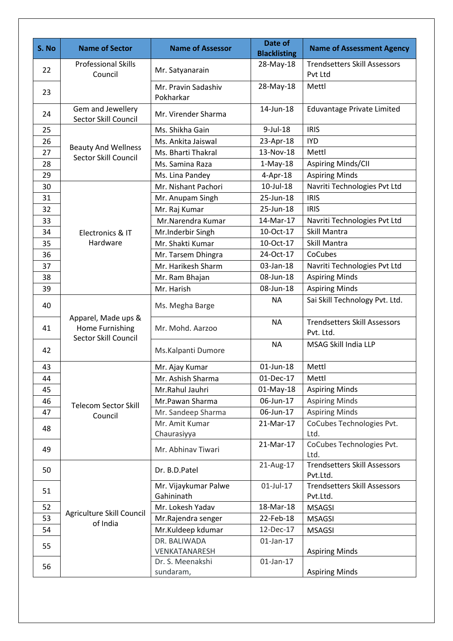| S. No | <b>Name of Sector</b>                                          | <b>Name of Assessor</b>            | Date of                          | <b>Name of Assessment Agency</b>                 |
|-------|----------------------------------------------------------------|------------------------------------|----------------------------------|--------------------------------------------------|
|       | <b>Professional Skills</b>                                     |                                    | <b>Blacklisting</b><br>28-May-18 | <b>Trendsetters Skill Assessors</b>              |
| 22    | Council                                                        | Mr. Satyanarain                    |                                  | Pvt Ltd                                          |
|       |                                                                | Mr. Pravin Sadashiv                | 28-May-18                        | Mettl                                            |
| 23    |                                                                | Pokharkar                          |                                  |                                                  |
| 24    | Gem and Jewellery<br>Sector Skill Council                      | Mr. Virender Sharma                | 14-Jun-18                        | Eduvantage Private Limited                       |
| 25    |                                                                | Ms. Shikha Gain                    | $9$ -Jul-18                      | <b>IRIS</b>                                      |
| 26    | <b>Beauty And Wellness</b>                                     | Ms. Ankita Jaiswal                 | 23-Apr-18                        | <b>IYD</b>                                       |
| 27    | Sector Skill Council                                           | Ms. Bharti Thakral                 | 13-Nov-18                        | Mettl                                            |
| 28    |                                                                | Ms. Samina Raza                    | $1-May-18$                       | Aspiring Minds/CII                               |
| 29    |                                                                | Ms. Lina Pandey                    | $4$ -Apr-18                      | <b>Aspiring Minds</b>                            |
| 30    |                                                                | Mr. Nishant Pachori                | 10-Jul-18                        | Navriti Technologies Pvt Ltd                     |
| 31    |                                                                | Mr. Anupam Singh                   | 25-Jun-18                        | <b>IRIS</b>                                      |
| 32    |                                                                | Mr. Raj Kumar                      | 25-Jun-18                        | <b>IRIS</b>                                      |
| 33    |                                                                | Mr.Narendra Kumar                  | 14-Mar-17                        | Navriti Technologies Pvt Ltd                     |
| 34    | Electronics & IT                                               | Mr.Inderbir Singh                  | 10-Oct-17                        | Skill Mantra                                     |
| 35    | Hardware                                                       | Mr. Shakti Kumar                   | 10-Oct-17                        | Skill Mantra                                     |
| 36    |                                                                | Mr. Tarsem Dhingra                 | 24-Oct-17                        | CoCubes                                          |
| 37    |                                                                | Mr. Harikesh Sharm                 | 03-Jan-18                        | Navriti Technologies Pvt Ltd                     |
| 38    |                                                                | Mr. Ram Bhajan                     | 08-Jun-18                        | <b>Aspiring Minds</b>                            |
| 39    |                                                                | Mr. Harish                         | 08-Jun-18                        | <b>Aspiring Minds</b>                            |
| 40    |                                                                | Ms. Megha Barge                    | <b>NA</b>                        | Sai Skill Technology Pvt. Ltd.                   |
| 41    | Apparel, Made ups &<br>Home Furnishing<br>Sector Skill Council | Mr. Mohd. Aarzoo                   | <b>NA</b>                        | <b>Trendsetters Skill Assessors</b><br>Pvt. Ltd. |
| 42    |                                                                | Ms.Kalpanti Dumore                 | <b>NA</b>                        | MSAG Skill India LLP                             |
| 43    |                                                                | Mr. Ajay Kumar                     | 01-Jun-18                        | Mettl                                            |
| 44    |                                                                | Mr. Ashish Sharma                  | 01-Dec-17                        | Mettl                                            |
| 45    |                                                                | Mr.Rahul Jauhri                    | 01-May-18                        | <b>Aspiring Minds</b>                            |
| 46    |                                                                | Mr.Pawan Sharma                    | 06-Jun-17                        | <b>Aspiring Minds</b>                            |
| 47    | <b>Telecom Sector Skill</b><br>Council                         | Mr. Sandeep Sharma                 | 06-Jun-17                        | <b>Aspiring Minds</b>                            |
| 48    |                                                                | Mr. Amit Kumar<br>Chaurasiyya      | 21-Mar-17                        | CoCubes Technologies Pvt.<br>Ltd.                |
| 49    |                                                                | Mr. Abhinav Tiwari                 | 21-Mar-17                        | CoCubes Technologies Pvt.<br>Ltd.                |
| 50    |                                                                | Dr. B.D.Patel                      | 21-Aug-17                        | <b>Trendsetters Skill Assessors</b><br>Pvt.Ltd.  |
| 51    |                                                                | Mr. Vijaykumar Palwe<br>Gahininath | 01-Jul-17                        | <b>Trendsetters Skill Assessors</b><br>Pvt.Ltd.  |
| 52    |                                                                | Mr. Lokesh Yadav                   | 18-Mar-18                        | <b>MSAGSI</b>                                    |
| 53    | Agriculture Skill Council<br>of India                          | Mr.Rajendra senger                 | 22-Feb-18                        | <b>MSAGSI</b>                                    |
| 54    |                                                                | Mr.Kuldeep kdumar                  | 12-Dec-17                        | <b>MSAGSI</b>                                    |
| 55    |                                                                | DR. BALIWADA                       | $01$ -Jan-17                     |                                                  |
|       |                                                                | VENKATANARESH                      |                                  | <b>Aspiring Minds</b>                            |
| 56    |                                                                | Dr. S. Meenakshi<br>sundaram,      | $01$ -Jan-17                     | <b>Aspiring Minds</b>                            |
|       |                                                                |                                    |                                  |                                                  |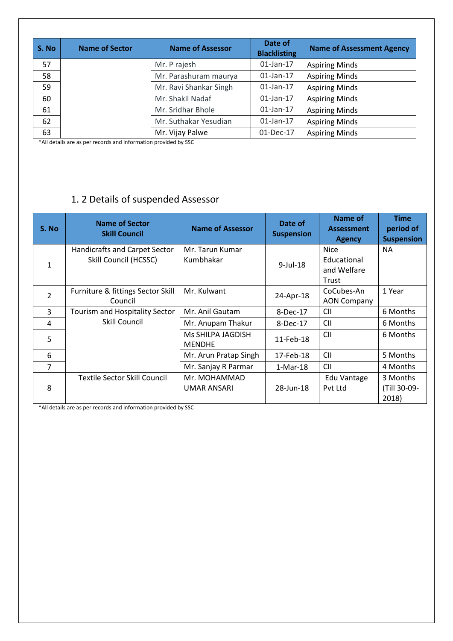| S. No | <b>Name of Sector</b> | <b>Name of Assessor</b> | Date of<br><b>Blacklisting</b> | <b>Name of Assessment Agency</b> |
|-------|-----------------------|-------------------------|--------------------------------|----------------------------------|
| 57    |                       | Mr. P rajesh            | $01$ -Jan-17                   | <b>Aspiring Minds</b>            |
| 58    |                       | Mr. Parashuram maurya   | $01$ -Jan-17                   | <b>Aspiring Minds</b>            |
| 59    |                       | Mr. Ravi Shankar Singh  | $01$ -Jan-17                   | <b>Aspiring Minds</b>            |
| 60    |                       | Mr. Shakil Nadaf        | $01$ -Jan-17                   | <b>Aspiring Minds</b>            |
| 61    |                       | Mr. Sridhar Bhole       | $01$ -Jan-17                   | <b>Aspiring Minds</b>            |
| 62    |                       | Mr. Suthakar Yesudian   | $01$ -Jan-17                   | <b>Aspiring Minds</b>            |
| 63    |                       | Mr. Vijay Palwe         | 01-Dec-17                      | <b>Aspiring Minds</b>            |

\*All details are as per records and information provided by SSC

# 1. 2 Details of suspended Assessor

| S. No          | <b>Name of Sector</b><br><b>Skill Council</b>                 | <b>Name of Assessor</b>            | Date of<br><b>Suspension</b> | Name of<br><b>Assessment</b><br><b>Agency</b>      | <b>Time</b><br>period of<br><b>Suspension</b> |
|----------------|---------------------------------------------------------------|------------------------------------|------------------------------|----------------------------------------------------|-----------------------------------------------|
| 1              | <b>Handicrafts and Carpet Sector</b><br>Skill Council (HCSSC) | Mr. Tarun Kumar<br>Kumbhakar       | $9$ -Jul-18                  | <b>Nice</b><br>Educational<br>and Welfare<br>Trust | <b>NA</b>                                     |
| $\overline{2}$ | Furniture & fittings Sector Skill<br>Council                  | Mr. Kulwant                        | 24-Apr-18                    | CoCubes-An<br><b>AON Company</b>                   | 1 Year                                        |
| $\overline{3}$ | Tourism and Hospitality Sector                                | Mr. Anil Gautam                    | 8-Dec-17                     | <b>CII</b>                                         | 6 Months                                      |
| 4              | Skill Council                                                 | Mr. Anupam Thakur                  | 8-Dec-17                     | <b>CII</b>                                         | 6 Months                                      |
| 5              |                                                               | Ms SHILPA JAGDISH<br><b>MENDHE</b> | 11-Feb-18                    | <b>CII</b>                                         | 6 Months                                      |
| 6              |                                                               | Mr. Arun Pratap Singh              | 17-Feb-18                    | <b>CII</b>                                         | 5 Months                                      |
| 7              |                                                               | Mr. Sanjay R Parmar                | $1-Mar-18$                   | <b>CII</b>                                         | 4 Months                                      |
| 8              | <b>Textile Sector Skill Council</b>                           | Mr. MOHAMMAD<br>UMAR ANSARI        | 28-Jun-18                    | Edu Vantage<br>Pyt Ltd                             | 3 Months<br>(Till 30-09-<br>2018)             |

\*All details are as per records and information provided by SSC